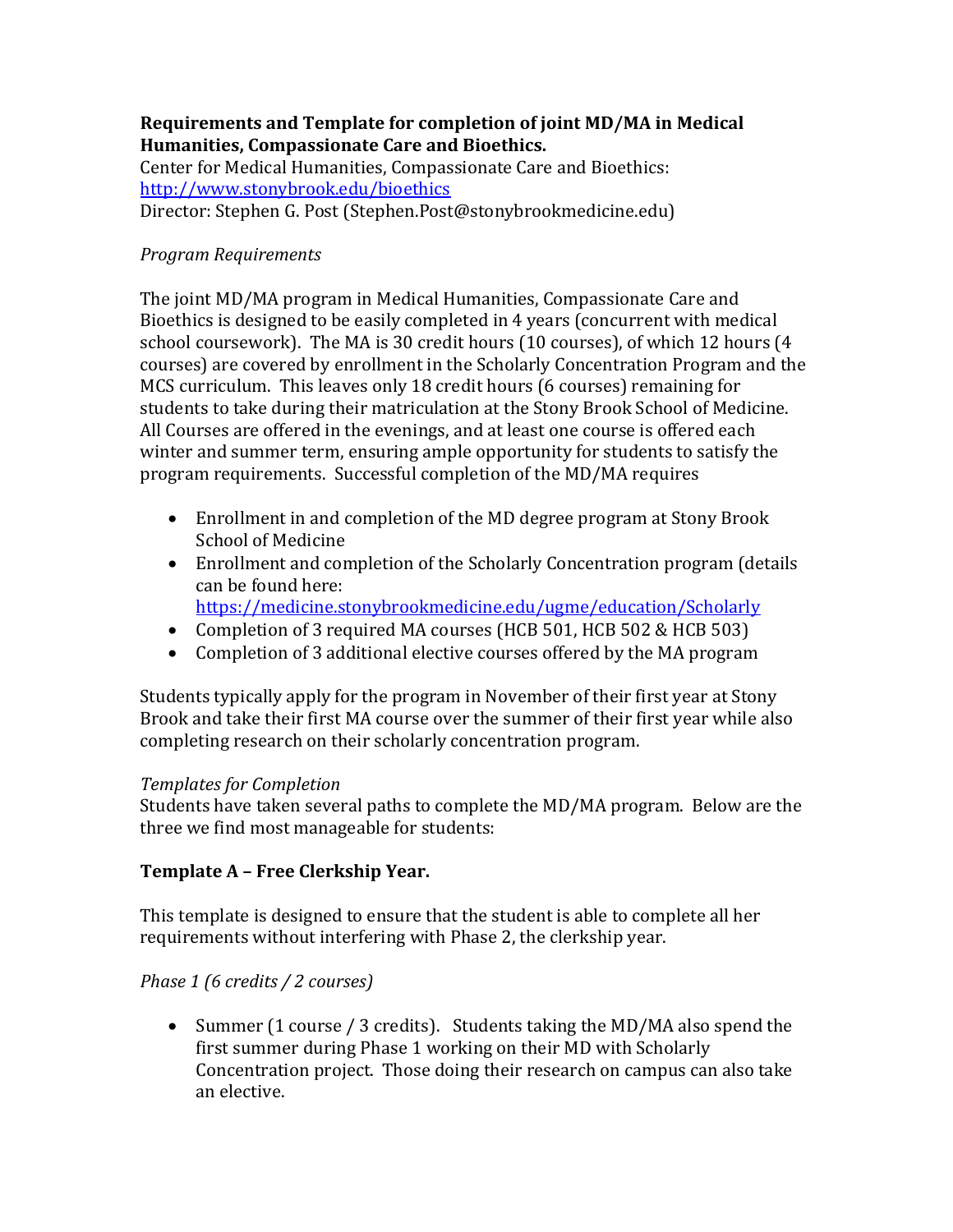#### **Requirements and Template for completion of joint MD/MA in Medical Humanities, Compassionate Care and Bioethics.**

Center for Medical Humanities, Compassionate Care and Bioethics: <http://www.stonybrook.edu/bioethics> Director: Stephen G. Post (Stephen.Post@stonybrookmedicine.edu)

## *Program Requirements*

The joint MD/MA program in Medical Humanities, Compassionate Care and Bioethics is designed to be easily completed in 4 years (concurrent with medical school coursework). The MA is 30 credit hours (10 courses), of which 12 hours (4 courses) are covered by enrollment in the Scholarly Concentration Program and the MCS curriculum. This leaves only 18 credit hours (6 courses) remaining for students to take during their matriculation at the Stony Brook School of Medicine. All Courses are offered in the evenings, and at least one course is offered each winter and summer term, ensuring ample opportunity for students to satisfy the program requirements. Successful completion of the MD/MA requires

- Enrollment in and completion of the MD degree program at Stony Brook School of Medicine
- Enrollment and completion of the Scholarly Concentration program (details can be found here:
	- <https://medicine.stonybrookmedicine.edu/ugme/education/Scholarly>
- Completion of 3 required MA courses (HCB 501, HCB 502 & HCB 503)
- Completion of 3 additional elective courses offered by the MA program

Students typically apply for the program in November of their first year at Stony Brook and take their first MA course over the summer of their first year while also completing research on their scholarly concentration program.

#### *Templates for Completion*

Students have taken several paths to complete the MD/MA program. Below are the three we find most manageable for students:

#### **Template A – Free Clerkship Year.**

This template is designed to ensure that the student is able to complete all her requirements without interfering with Phase 2, the clerkship year.

#### *Phase 1 (6 credits / 2 courses)*

 Summer (1 course / 3 credits).Students taking the MD/MA also spend the first summer during Phase 1 working on their MD with Scholarly Concentration project. Those doing their research on campus can also take an elective.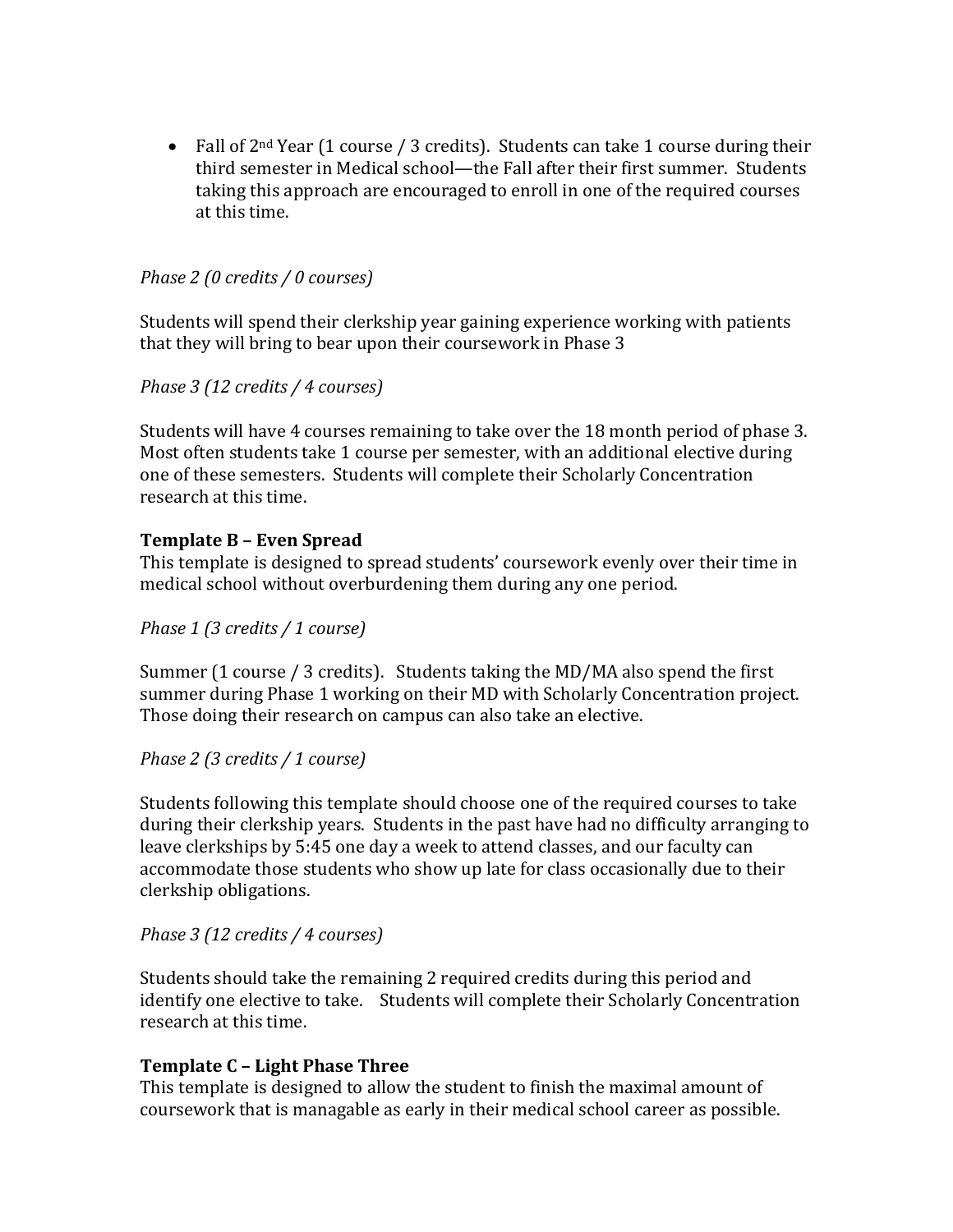• Fall of  $2<sup>nd</sup>$  Year (1 course / 3 credits). Students can take 1 course during their third semester in Medical school—the Fall after their first summer. Students taking this approach are encouraged to enroll in one of the required courses at this time.

#### *Phase 2 (0 credits / 0 courses)*

Students will spend their clerkship year gaining experience working with patients that they will bring to bear upon their coursework in Phase 3

#### *Phase 3 (12 credits / 4 courses)*

Students will have 4 courses remaining to take over the 18 month period of phase 3. Most often students take 1 course per semester, with an additional elective during one of these semesters. Students will complete their Scholarly Concentration research at this time.

## **Template B – Even Spread**

This template is designed to spread students' coursework evenly over their time in medical school without overburdening them during any one period.

#### *Phase 1 (3 credits / 1 course)*

Summer (1 course / 3 credits).Students taking the MD/MA also spend the first summer during Phase 1 working on their MD with Scholarly Concentration project. Those doing their research on campus can also take an elective.

#### *Phase 2 (3 credits / 1 course)*

Students following this template should choose one of the required courses to take during their clerkship years. Students in the past have had no difficulty arranging to leave clerkships by 5:45 one day a week to attend classes, and our faculty can accommodate those students who show up late for class occasionally due to their clerkship obligations.

#### *Phase 3 (12 credits / 4 courses)*

Students should take the remaining 2 required credits during this period and identify one elective to take. Students will complete their Scholarly Concentration research at this time.

#### **Template C – Light Phase Three**

This template is designed to allow the student to finish the maximal amount of coursework that is managable as early in their medical school career as possible.